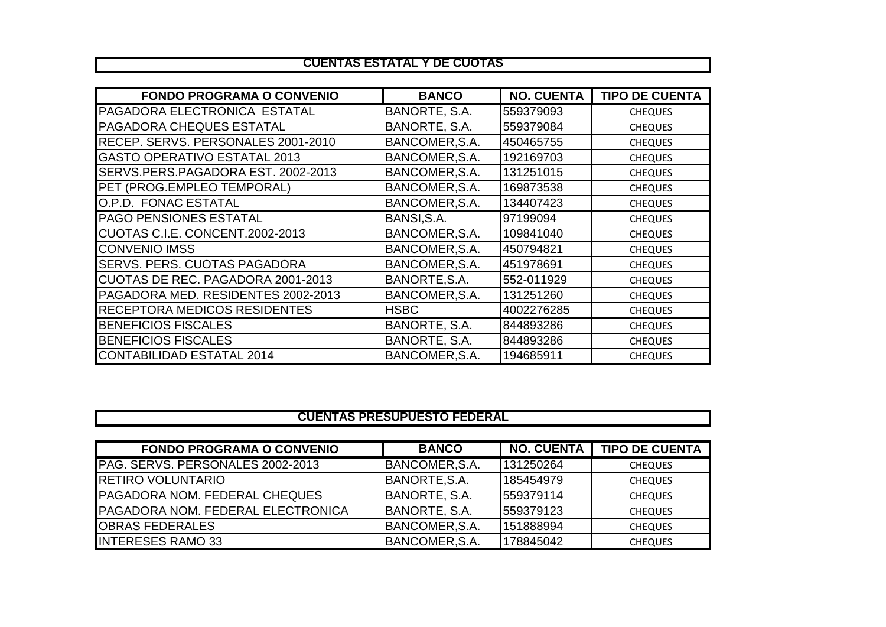## **CUENTAS ESTATAL Y DE CUOTAS**

| <b>FONDO PROGRAMA O CONVENIO</b>         | <b>BANCO</b>   | <b>NO. CUENTA</b> | <b>TIPO DE CUENTA</b> |
|------------------------------------------|----------------|-------------------|-----------------------|
| PAGADORA ELECTRONICA ESTATAL             | BANORTE, S.A.  | 559379093         | <b>CHEQUES</b>        |
| <b>PAGADORA CHEQUES ESTATAL</b>          | BANORTE, S.A.  | 559379084         | <b>CHEQUES</b>        |
| RECEP. SERVS. PERSONALES 2001-2010       | BANCOMER, S.A. | 450465755         | <b>CHEQUES</b>        |
| <b>GASTO OPERATIVO ESTATAL 2013</b>      | BANCOMER, S.A. | 192169703         | <b>CHEQUES</b>        |
| SERVS.PERS.PAGADORA EST. 2002-2013       | BANCOMER, S.A. | 131251015         | <b>CHEQUES</b>        |
| PET (PROG.EMPLEO TEMPORAL)               | BANCOMER, S.A. | 169873538         | <b>CHEQUES</b>        |
| O.P.D. FONAC ESTATAL                     | BANCOMER, S.A. | 134407423         | <b>CHEQUES</b>        |
| <b>PAGO PENSIONES ESTATAL</b>            | BANSI, S.A.    | 97199094          | <b>CHEQUES</b>        |
| CUOTAS C.I.E. CONCENT.2002-2013          | BANCOMER, S.A. | 109841040         | <b>CHEQUES</b>        |
| <b>CONVENIO IMSS</b>                     | BANCOMER, S.A. | 450794821         | <b>CHEQUES</b>        |
| <b>SERVS. PERS. CUOTAS PAGADORA</b>      | BANCOMER, S.A. | 451978691         | <b>CHEQUES</b>        |
| <b>CUOTAS DE REC. PAGADORA 2001-2013</b> | BANORTE, S.A.  | 552-011929        | <b>CHEQUES</b>        |
| PAGADORA MED. RESIDENTES 2002-2013       | BANCOMER, S.A. | 131251260         | <b>CHEQUES</b>        |
| <b>RECEPTORA MEDICOS RESIDENTES</b>      | <b>HSBC</b>    | 4002276285        | <b>CHEQUES</b>        |
| <b>BENEFICIOS FISCALES</b>               | BANORTE, S.A.  | 844893286         | <b>CHEQUES</b>        |
| <b>BENEFICIOS FISCALES</b>               | BANORTE, S.A.  | 844893286         | <b>CHEQUES</b>        |
| <b>CONTABILIDAD ESTATAL 2014</b>         | BANCOMER, S.A. | 194685911         | <b>CHEQUES</b>        |

## **CUENTAS PRESUPUESTO FEDERAL**

| <b>FONDO PROGRAMA O CONVENIO</b>         | <b>BANCO</b>   | <b>NO. CUENTA</b> | <b>TIPO DE CUENTA</b> |
|------------------------------------------|----------------|-------------------|-----------------------|
| <b>IPAG. SERVS. PERSONALES 2002-2013</b> | BANCOMER, S.A. | 131250264         | <b>CHEQUES</b>        |
| <b>IRETIRO VOLUNTARIO</b>                | BANORTE, S.A.  | 185454979         | <b>CHEQUES</b>        |
| <b>PAGADORA NOM. FEDERAL CHEQUES</b>     | BANORTE, S.A.  | 559379114         | <b>CHEQUES</b>        |
| <b>PAGADORA NOM. FEDERAL ELECTRONICA</b> | BANORTE, S.A.  | 559379123         | <b>CHEQUES</b>        |
| <b>IOBRAS FEDERALES</b>                  | BANCOMER, S.A. | 151888994         | <b>CHEQUES</b>        |
| <b>INTERESES RAMO 33</b>                 | BANCOMER, S.A. | 178845042         | <b>CHEQUES</b>        |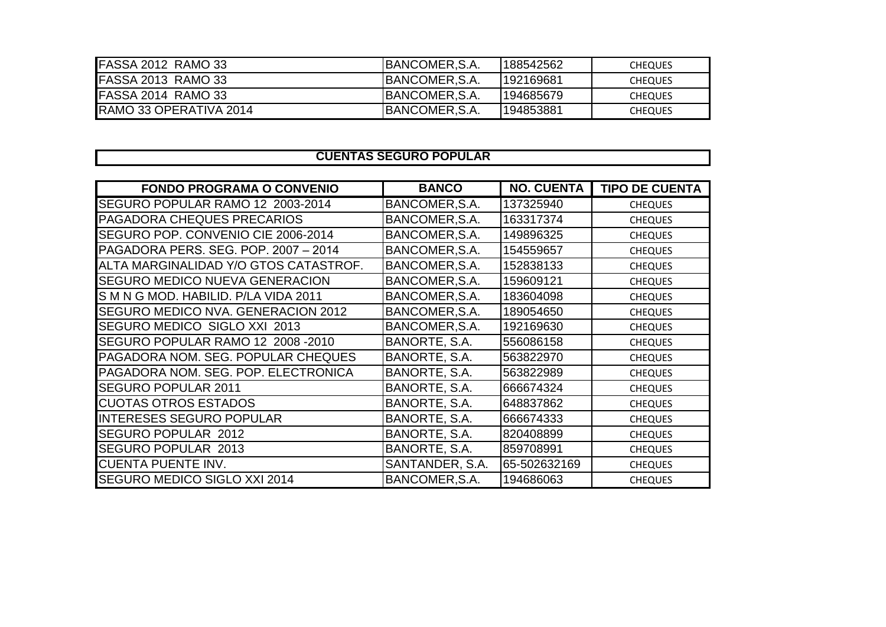| <b>IFASSA 2012 RAMO 33</b>     | <b>IBANCOMER, S.A.</b> | 1188542562 | <b>CHEQUES</b> |
|--------------------------------|------------------------|------------|----------------|
| <b>IFASSA 2013 RAMO 33</b>     | <b>IBANCOMER, S.A.</b> | 1192169681 | <b>CHEQUES</b> |
| <b>IFASSA 2014 RAMO 33</b>     | <b>IBANCOMER, S.A.</b> | 1194685679 | <b>CHEQUES</b> |
| <b>IRAMO 33 OPERATIVA 2014</b> | BANCOMER, S.A.         | 1194853881 | <b>CHEQUES</b> |

## **CUENTAS SEGURO POPULAR**

| <b>FONDO PROGRAMA O CONVENIO</b>          | <b>BANCO</b>    | <b>NO. CUENTA</b> | <b>TIPO DE CUENTA</b> |
|-------------------------------------------|-----------------|-------------------|-----------------------|
| SEGURO POPULAR RAMO 12 2003-2014          | BANCOMER, S.A.  | 137325940         | <b>CHEQUES</b>        |
| <b>PAGADORA CHEQUES PRECARIOS</b>         | BANCOMER, S.A.  | 163317374         | <b>CHEQUES</b>        |
| SEGURO POP. CONVENIO CIE 2006-2014        | BANCOMER, S.A.  | 149896325         | <b>CHEQUES</b>        |
| PAGADORA PERS. SEG. POP. 2007 - 2014      | BANCOMER, S.A.  | 154559657         | <b>CHEQUES</b>        |
| ALTA MARGINALIDAD Y/O GTOS CATASTROF.     | BANCOMER, S.A.  | 152838133         | <b>CHEQUES</b>        |
| <b>SEGURO MEDICO NUEVA GENERACION</b>     | BANCOMER, S.A.  | 159609121         | <b>CHEQUES</b>        |
| S M N G MOD. HABILID. P/LA VIDA 2011      | BANCOMER, S.A.  | 183604098         | <b>CHEQUES</b>        |
| <b>SEGURO MEDICO NVA. GENERACION 2012</b> | BANCOMER, S.A.  | 189054650         | <b>CHEQUES</b>        |
| SEGURO MEDICO SIGLO XXI 2013              | BANCOMER, S.A.  | 192169630         | <b>CHEQUES</b>        |
| SEGURO POPULAR RAMO 12 2008 -2010         | BANORTE, S.A.   | 556086158         | <b>CHEQUES</b>        |
| PAGADORA NOM. SEG. POPULAR CHEQUES        | BANORTE, S.A.   | 563822970         | <b>CHEQUES</b>        |
| PAGADORA NOM. SEG. POP. ELECTRONICA       | BANORTE, S.A.   | 563822989         | <b>CHEQUES</b>        |
| <b>SEGURO POPULAR 2011</b>                | BANORTE, S.A.   | 666674324         | <b>CHEQUES</b>        |
| <b>CUOTAS OTROS ESTADOS</b>               | BANORTE, S.A.   | 648837862         | <b>CHEQUES</b>        |
| <b>INTERESES SEGURO POPULAR</b>           | BANORTE, S.A.   | 666674333         | <b>CHEQUES</b>        |
| <b>SEGURO POPULAR 2012</b>                | BANORTE, S.A.   | 820408899         | <b>CHEQUES</b>        |
| <b>SEGURO POPULAR 2013</b>                | BANORTE, S.A.   | 859708991         | <b>CHEQUES</b>        |
| <b>CUENTA PUENTE INV.</b>                 | SANTANDER, S.A. | 65-502632169      | <b>CHEQUES</b>        |
| <b>SEGURO MEDICO SIGLO XXI 2014</b>       | BANCOMER, S.A.  | 194686063         | <b>CHEQUES</b>        |